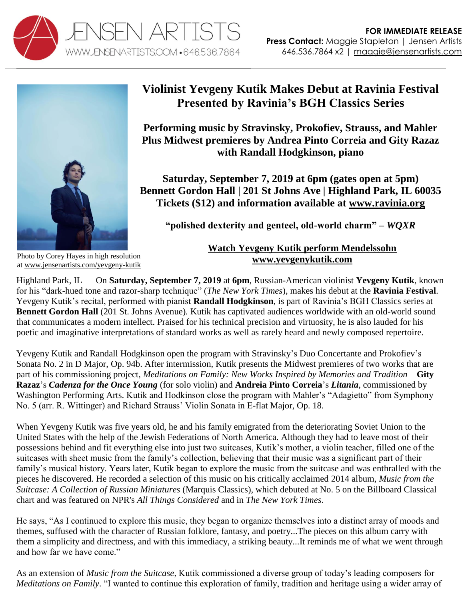



## **Violinist Yevgeny Kutik Makes Debut at Ravinia Festival Presented by Ravinia's BGH Classics Series**

**Performing music by Stravinsky, Prokofiev, Strauss, and Mahler Plus Midwest premieres by Andrea Pinto Correia and Gity Razaz with Randall Hodgkinson, piano**

**Saturday, September 7, 2019 at 6pm (gates open at 5pm) Bennett Gordon Hall | 201 St Johns Ave | Highland Park, IL 60035 Tickets (\$12) and information available at [www.ravinia.org](https://www.ravinia.org/ShowDetails/1676/yevgeny-kutik)**

**"polished dexterity and genteel, old-world charm" –** *WQXR*

Photo by Corey Hayes in high resolution at [www.jensenartists.com/yevgeny-kutik](http://www.jensenartists.com/yevgeny-kutik)

## **[Watch Yevgeny Kutik perform Mendelssohn](https://youtu.be/2GiLUs7xYzo) [www.yevgenykutik.com](http://www.yevgenykutik.com/)**

Highland Park, IL — On **Saturday, September 7, 2019** at **6pm**, Russian-American violinist **Yevgeny Kutik**, known for his "dark-hued tone and razor-sharp technique" (*The New York Times*), makes his debut at the **Ravinia Festival**. Yevgeny Kutik's recital, performed with pianist **Randall Hodgkinson**, is part of Ravinia's BGH Classics series at **Bennett Gordon Hall** (201 St. Johns Avenue)*.* Kutik has captivated audiences worldwide with an old-world sound that communicates a modern intellect. Praised for his technical precision and virtuosity, he is also lauded for his poetic and imaginative interpretations of standard works as well as rarely heard and newly composed repertoire.

Yevgeny Kutik and Randall Hodgkinson open the program with Stravinsky's Duo Concertante and Prokofiev's Sonata No. 2 in D Major, Op. 94b. After intermission, Kutik presents the Midwest premieres of two works that are part of his commissioning project, *Meditations on Family: New Works Inspired by Memories and Tradition* – **Gity Razaz**'s *Cadenza for the Once Young* (for solo violin) and **Andreia Pinto Correia**'s *Litania*, commissioned by Washington Performing Arts. Kutik and Hodkinson close the program with Mahler's "Adagietto" from Symphony No. 5 (arr. R. Wittinger) and Richard Strauss' Violin Sonata in E-flat Major, Op. 18.

When Yevgeny Kutik was five years old, he and his family emigrated from the deteriorating Soviet Union to the United States with the help of the Jewish Federations of North America. Although they had to leave most of their possessions behind and fit everything else into just two suitcases, Kutik's mother, a violin teacher, filled one of the suitcases with sheet music from the family's collection, believing that their music was a significant part of their family's musical history. Years later, Kutik began to explore the music from the suitcase and was enthralled with the pieces he discovered. He recorded a selection of this music on his critically acclaimed 2014 album, *Music from the Suitcase: A Collection of Russian Miniatures* (Marquis Classics), which debuted at No. 5 on the Billboard Classical chart and was featured on NPR's *All Things Considered* and in *The New York Times*.

He says, "As I continued to explore this music, they began to organize themselves into a distinct array of moods and themes, suffused with the character of Russian folklore, fantasy, and poetry...The pieces on this album carry with them a simplicity and directness, and with this immediacy, a striking beauty...It reminds me of what we went through and how far we have come"

As an extension of *Music from the Suitcase*, Kutik commissioned a diverse group of today's leading composers for *Meditations on Family*. "I wanted to continue this exploration of family, tradition and heritage using a wider array of